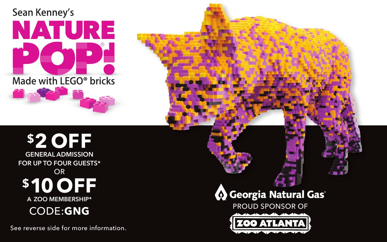

## **\$2 OFF GENERAL ADMISSION FOR UP TO FOUR GUESTS\*** OR **\$10 OFF A ZOO MEMBERSHIP\*** CODE:**GNG**

See reverse side for more information.

## **B** Georgia Natural Gas

PROUD SPONSOR OF ZOO ATLANTA ATLANTA ATLANTA ATLANTA ATLANTA ATLANTA ATLANTA ATLANTA ATLANTA ATLANTA ATLANTA A

PROUD SPONSOR OF